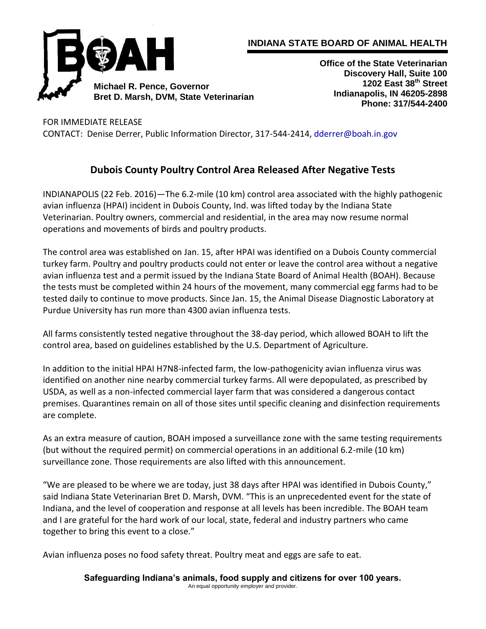

## **INDIANA STATE BOARD OF ANIMAL HEALTH**

**Office of the State Veterinarian Discovery Hall, Suite 100 1202 East 38th Street Indianapolis, IN 46205-2898 Phone: 317/544-2400**

FOR IMMEDIATE RELEASE

CONTACT: Denise Derrer, Public Information Director, 317-544-2414[, dderrer@boah.in.gov](mailto:dderrer@boah.in.gov)

## **Dubois County Poultry Control Area Released After Negative Tests**

INDIANAPOLIS (22 Feb. 2016)—The 6.2-mile (10 km) control area associated with the highly pathogenic avian influenza (HPAI) incident in Dubois County, Ind. was lifted today by the Indiana State Veterinarian. Poultry owners, commercial and residential, in the area may now resume normal operations and movements of birds and poultry products.

The control area was established on Jan. 15, after HPAI was identified on a Dubois County commercial turkey farm. Poultry and poultry products could not enter or leave the control area without a negative avian influenza test and a permit issued by the Indiana State Board of Animal Health (BOAH). Because the tests must be completed within 24 hours of the movement, many commercial egg farms had to be tested daily to continue to move products. Since Jan. 15, the Animal Disease Diagnostic Laboratory at Purdue University has run more than 4300 avian influenza tests.

All farms consistently tested negative throughout the 38-day period, which allowed BOAH to lift the control area, based on guidelines established by the U.S. Department of Agriculture.

In addition to the initial HPAI H7N8-infected farm, the low-pathogenicity avian influenza virus was identified on another nine nearby commercial turkey farms. All were depopulated, as prescribed by USDA, as well as a non-infected commercial layer farm that was considered a dangerous contact premises. Quarantines remain on all of those sites until specific cleaning and disinfection requirements are complete.

As an extra measure of caution, BOAH imposed a surveillance zone with the same testing requirements (but without the required permit) on commercial operations in an additional 6.2-mile (10 km) surveillance zone. Those requirements are also lifted with this announcement.

"We are pleased to be where we are today, just 38 days after HPAI was identified in Dubois County," said Indiana State Veterinarian Bret D. Marsh, DVM. "This is an unprecedented event for the state of Indiana, and the level of cooperation and response at all levels has been incredible. The BOAH team and I are grateful for the hard work of our local, state, federal and industry partners who came together to bring this event to a close."

Avian influenza poses no food safety threat. Poultry meat and eggs are safe to eat.

**Safeguarding Indiana's animals, food supply and citizens for over 100 years.** An equal opportunity employer and provider.